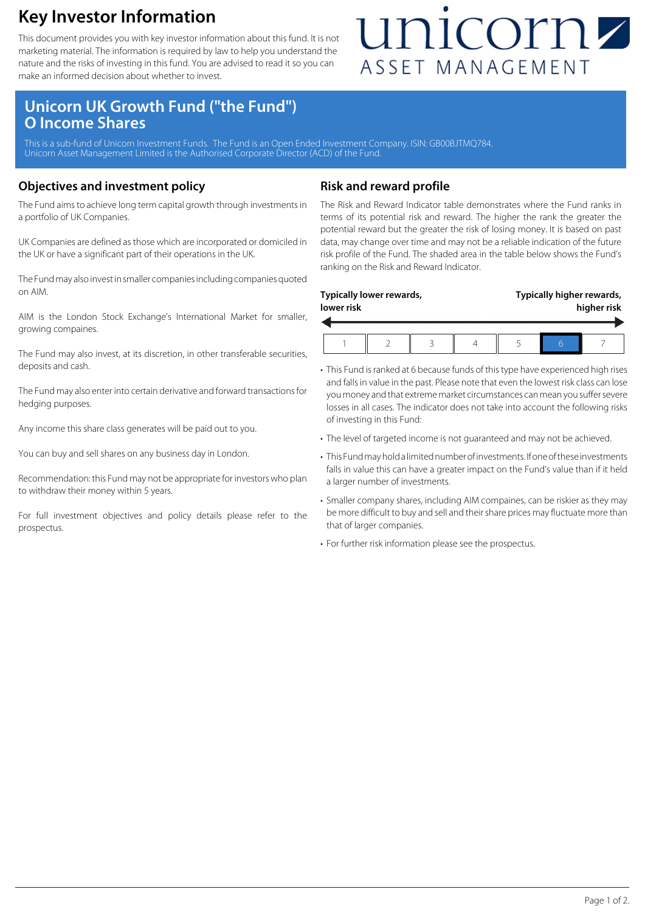### **Key Investor Information**

This document provides you with key investor information about this fund. It is not marketing material. The information is required by law to help you understand the nature and the risks of investing in this fund. You are advised to read it so you can make an informed decision about whether to invest.

## unicornz ASSET MANAGEMENT

### **Unicorn UK Growth Fund ("the Fund") O Income Shares**

This is a sub-fund of Unicorn Investment Funds. The Fund is an Open Ended Investment Company. ISIN: GB00BJTMQ784 Unicorn Asset Management Limited is the Authorised Corporate Director (ACD) of the Fund.

#### **Objectives and investment policy**

The Fund aims to achieve long term capital growth through investments in a portfolio of UK Companies.

UK Companies are defined as those which are incorporated or domiciled in the UK or have a significant part of their operations in the UK.

The Fund may also invest in smaller companies including companies quoted on AIM.

AIM is the London Stock Exchange's International Market for smaller, growing compaines.

The Fund may also invest, at its discretion, in other transferable securities, deposits and cash.

The Fund may also enter into certain derivative and forward transactions for hedging purposes.

Any income this share class generates will be paid out to you.

You can buy and sell shares on any business day in London.

Recommendation: this Fund may not be appropriate for investors who plan to withdraw their money within 5 years.

For full investment objectives and policy details please refer to the prospectus.

#### **Risk and reward profile**

The Risk and Reward Indicator table demonstrates where the Fund ranks in terms of its potential risk and reward. The higher the rank the greater the potential reward but the greater the risk of losing money. It is based on past data, may change over time and may not be a reliable indication of the future risk profile of the Fund. The shaded area in the table below shows the Fund's ranking on the Risk and Reward Indicator.

| lower risk | Typically lower rewards, |  |  | Typically higher rewards,<br>higher risk |
|------------|--------------------------|--|--|------------------------------------------|
|            |                          |  |  |                                          |

- This Fund is ranked at 6 because funds of this type have experienced high rises and falls in value in the past. Please note that even the lowest risk class can lose you money and that extreme market circumstances can mean you suffer severe losses in all cases. The indicator does not take into account the following risks of investing in this Fund:
- The level of targeted income is not guaranteed and may not be achieved.
- This Fund may hold a limited number of investments. If one of these investments falls in value this can have a greater impact on the Fund's value than if it held a larger number of investments.
- Smaller company shares, including AIM compaines, can be riskier as they may be more difficult to buy and sell and their share prices may fluctuate more than that of larger companies.
- For further risk information please see the prospectus.